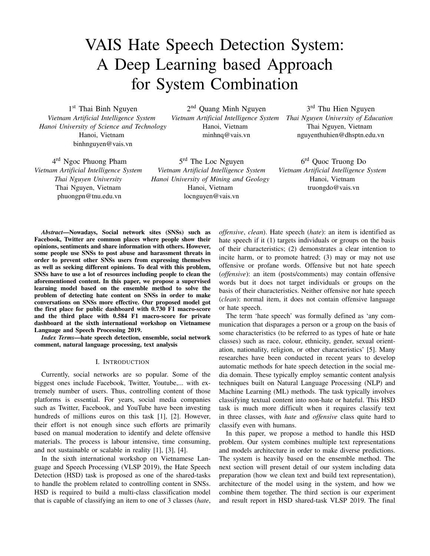# VAIS Hate Speech Detection System: A Deep Learning based Approach for System Combination

1<sup>st</sup> Thai Binh Nguyen *Vietnam Artificial Intelligence System Hanoi University of Science and Technology* Hanoi, Vietnam binhnguyen@vais.vn

2<sup>nd</sup> Quang Minh Nguyen Hanoi, Vietnam minhnq@vais.vn

*Vietnam Artificial Intelligence System Thai Nguyen University of Education* 3<sup>rd</sup> Thu Hien Nguyen Thai Nguyen, Vietnam nguyenthuhien@dhsptn.edu.vn

4 rd Ngoc Phuong Pham *Vietnam Artificial Intelligence System Thai Nguyen University* Thai Nguyen, Vietnam phuongpn@tnu.edu.vn

5<sup>rd</sup> The Loc Nguyen *Vietnam Artificial Intelligence System Hanoi University of Mining and Geology* Hanoi, Vietnam locnguyen@vais.vn

6 rd Quoc Truong Do *Vietnam Artificial Intelligence System* Hanoi, Vietnam truongdo@vais.vn

*Abstract***—Nowadays, Social network sites (SNSs) such as Facebook, Twitter are common places where people show their opinions, sentiments and share information with others. However, some people use SNSs to post abuse and harassment threats in order to prevent other SNSs users from expressing themselves as well as seeking different opinions. To deal with this problem, SNSs have to use a lot of resources including people to clean the aforementioned content. In this paper, we propose a supervised learning model based on the ensemble method to solve the problem of detecting hate content on SNSs in order to make conversations on SNSs more effective. Our proposed model got the first place for public dashboard with 0.730 F1 macro-score and the third place with 0.584 F1 macro-score for private dashboard at the sixth international workshop on Vietnamese Language and Speech Processing 2019.**

*Index Terms***—hate speech detection, ensemble, social network comment, natural language processing, text analysis**

#### I. INTRODUCTION

Currently, social networks are so popular. Some of the biggest ones include Facebook, Twitter, Youtube,... with extremely number of users. Thus, controlling content of those platforms is essential. For years, social media companies such as Twitter, Facebook, and YouTube have been investing hundreds of millions euros on this task [1], [2]. However, their effort is not enough since such efforts are primarily based on manual moderation to identify and delete offensive materials. The process is labour intensive, time consuming, and not sustainable or scalable in reality [1], [3], [4].

In the sixth international workshop on Vietnamese Language and Speech Processing (VLSP 2019), the Hate Speech Detection (HSD) task is proposed as one of the shared-tasks to handle the problem related to controlling content in SNSs. HSD is required to build a multi-class classification model that is capable of classifying an item to one of 3 classes (*hate*, *offensive*, *clean*). Hate speech (*hate*): an item is identified as hate speech if it (1) targets individuals or groups on the basis of their characteristics; (2) demonstrates a clear intention to incite harm, or to promote hatred; (3) may or may not use offensive or profane words. Offensive but not hate speech (*offensive*): an item (posts/comments) may contain offensive words but it does not target individuals or groups on the basis of their characteristics. Neither offensive nor hate speech (*clean*): normal item, it does not contain offensive language or hate speech.

The term 'hate speech' was formally defined as 'any communication that disparages a person or a group on the basis of some characteristics (to be referred to as types of hate or hate classes) such as race, colour, ethnicity, gender, sexual orientation, nationality, religion, or other characteristics' [5]. Many researches have been conducted in recent years to develop automatic methods for hate speech detection in the social media domain. These typically employ semantic content analysis techniques built on Natural Language Processing (NLP) and Machine Learning (ML) methods. The task typically involves classifying textual content into non-hate or hateful. This HSD task is much more difficult when it requires classify text in three classes, with *hate* and *offensive* class quite hard to classify even with humans.

In this paper, we propose a method to handle this HSD problem. Our system combines multiple text representations and models architecture in order to make diverse predictions. The system is heavily based on the ensemble method. The next section will present detail of our system including data preparation (how we clean text and build text representation), architecture of the model using in the system, and how we combine them together. The third section is our experiment and result report in HSD shared-task VLSP 2019. The final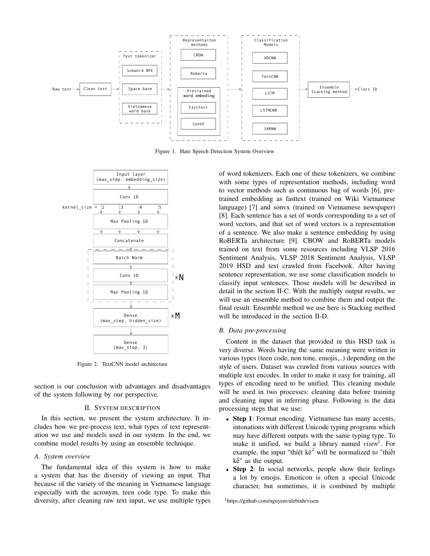

Figure 1. Hate Speech Detection System Overview



Figure 2. TextCNN model architecture

section is our conclusion with advantages and disadvantages of the system following by our perspective.

#### II. SYSTEM DESCRIPTION

In this section, we present the system architecture. It includes how we pre-process text, what types of text representation we use and models used in our system. In the end, we combine model results by using an ensemble technique.

## *A. System overview*

The fundamental idea of this system is how to make a system that has the diversity of viewing an input. That because of the variety of the meaning in Vietnamese language especially with the acronym, teen code type. To make this diversity, after cleaning raw text input, we use multiple types

of word tokenizers. Each one of these tokenizers, we combine with some types of representation methods, including word to vector methods such as continuous bag of words [6], pretrained embedding as fasttext (trained on Wiki Vietnamese language) [7] and sonvx (trained on Vietnamese newspaper) [8]. Each sentence has a set of words corresponding to a set of word vectors, and that set of word vectors is a representation of a sentence. We also make a sentence embedding by using RoBERTa architecture [9]. CBOW and RoBERTa models trained on text from some resources including VLSP 2016 Sentiment Analysis, VLSP 2018 Sentiment Analysis, VLSP 2019 HSD and text crawled from Facebook. After having sentence representation, we use some classification models to classify input sentences. Those models will be described in detail in the section II-C. With the multiply output results, we will use an ensemble method to combine them and output the final result. Ensemble method we use here is Stacking method will be introduced in the section II-D.

#### *B. Data pre-processing*

Content in the dataset that provided in this HSD task is very diverse. Words having the same meaning were written in various types (teen code, non tone, emojis,..) depending on the style of users. Dataset was crawled from various sources with multiple text encodes. In order to make it easy for training, all types of encoding need to be unified. This cleaning module will be used in two processes: cleaning data before training and cleaning input in inferring phase. Following is the data processing steps that we use:

- **Step 1**: Format encoding. Vietnamese has many accents, intonations with different Unicode typing programs which may have different outputs with the same typing type. To make it unified, we build a library named *visen*<sup>1</sup> . For example, the input "thíêt kê" will be normalized to "thiết kế" as the output.
- **Step 2**: In social networks, people show their feelings a lot by emojis. Emoticon is often a special Unicode character, but sometimes, it is combined by multiple

<sup>1</sup>https://github.com/nguyenvulebinh/visen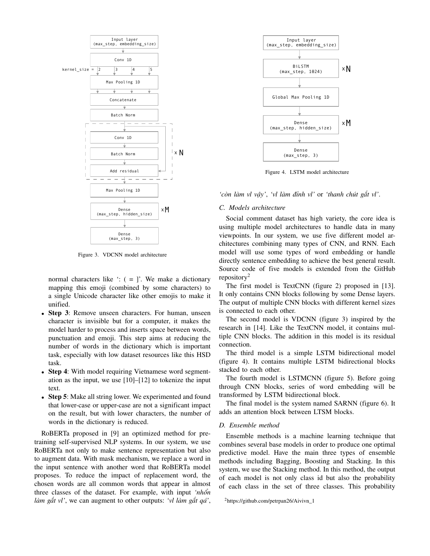

Figure 3. VDCNN model architecture

normal characters like  $\cdot$ : ( = ]. We make a dictionary mapping this emoji (combined by some characters) to a single Unicode character like other emojis to make it unified.

- **Step 3**: Remove unseen characters. For human, unseen character is invisible but for a computer, it makes the model harder to process and inserts space between words, punctuation and emoji. This step aims at reducing the number of words in the dictionary which is important task, especially with low dataset resources like this HSD task.
- **Step 4**: With model requiring Vietnamese word segmentation as the input, we use [10]–[12] to tokenize the input text.
- **Step 5**: Make all string lower. We experimented and found that lower-case or upper-case are not a significant impact on the result, but with lower characters, the number of words in the dictionary is reduced.

RoBERTa proposed in [9] an optimized method for pretraining self-supervised NLP systems. In our system, we use RoBERTa not only to make sentence representation but also to augment data. With mask mechanism, we replace a word in the input sentence with another word that RoBERTa model proposes. To reduce the impact of replacement word, the chosen words are all common words that appear in almost three classes of the dataset. For example, with input *'nhổn làm gắt vl'*, we can augment to other outputs: *'vl làm gắt qá'*,



Figure 4. LSTM model architecture

*'còn làm vl vậy'*, *'vl làm đỉnh vl'* or *'thanh chút gắt vl'*.

## *C. Models architecture*

Social comment dataset has high variety, the core idea is using multiple model architectures to handle data in many viewpoints. In our system, we use five different model architectures combining many types of CNN, and RNN. Each model will use some types of word embedding or handle directly sentence embedding to achieve the best general result. Source code of five models is extended from the GitHub repository<sup>2</sup>

The first model is TextCNN (figure 2) proposed in [13]. It only contains CNN blocks following by some Dense layers. The output of multiple CNN blocks with different kernel sizes is connected to each other.

The second model is VDCNN (figure 3) inspired by the research in [14]. Like the TextCNN model, it contains multiple CNN blocks. The addition in this model is its residual connection.

The third model is a simple LSTM bidirectional model (figure 4). It contains multiple LSTM bidirectional blocks stacked to each other.

The fourth model is LSTMCNN (figure 5). Before going through CNN blocks, series of word embedding will be transformed by LSTM bidirectional block.

The final model is the system named SARNN (figure 6). It adds an attention block between LTSM blocks.

## *D. Ensemble method*

Ensemble methods is a machine learning technique that combines several base models in order to produce one optimal predictive model. Have the main three types of ensemble methods including Bagging, Boosting and Stacking. In this system, we use the Stacking method. In this method, the output of each model is not only class id but also the probability of each class in the set of three classes. This probability

 ${}^{2}$ https://github.com/petrpan26/Aivivn\_1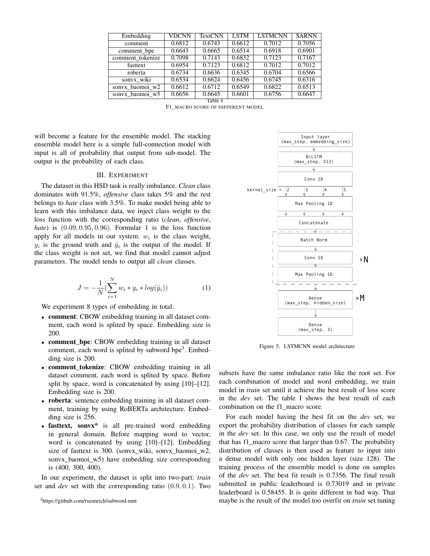| Embedding        | <b>VDCNN</b> | TextCNN | <b>LSTM</b> | <b>LSTMCNN</b> | <b>SARNN</b> |
|------------------|--------------|---------|-------------|----------------|--------------|
|                  |              |         |             |                |              |
| comment          | 0.6812       | 0.6743  | 0.6612      | 0.7012         | 0.7056       |
| comment_bpe      | 0.6643       | 0.6665  | 0.6514      | 0.6918         | 0.6901       |
| comment_tokenize | 0.7098       | 0.7143  | 0.6832      | 0.7123         | 0.7167       |
| fasttext         | 0.6954       | 0.7123  | 0.6812      | 0.7012         | 0.7012       |
| roberta          | 0.6734       | 0.6636  | 0.6345      | 0.6704         | 0.6566       |
| sonvx_wiki       | 0.6534       | 0.6624  | 0.6456      | 0.6745         | 0.6316       |
| sonvx baomoi w2  | 0.6612       | 0.6712  | 0.6549      | 0.6822         | 0.6513       |
| sonyx baomoi w5  | 0.6656       | 0.6645  | 0.6601      | 0.6756         | 0.6647       |
| Table I          |              |         |             |                |              |

F1\_MACRO SCORE OF DIFFERENT MODEL

will become a feature for the ensemble model. The stacking ensemble model here is a simple full-connection model with input is all of probability that output from sub-model. The output is the probability of each class.

### III. EXPERIMENT

The dataset in this HSD task is really imbalance. *Clean* class dominates with 91.5%, *offensive* class takes 5% and the rest belongs to *hate* class with 3.5%. To make model being able to learn with this imbalance data, we inject class weight to the loss function with the corresponding ratio (*clean*, *offensive*, *hate*) is (0.09, 0.95, 0.96). Formular 1 is the loss function apply for all models in our system.  $w_i$  is the class weight,  $y_i$  is the ground truth and  $\hat{y}_i$  is the output of the model. If the class weight is not set, we find that model cannot adjust parameters. The model tends to output all *clean* classes.

$$
J = -\frac{1}{N} \left( \sum_{i=1}^{N} w_i * y_i * log(\hat{y}_i) \right)
$$
 (1)

We experiment 8 types of embedding in total:

- **comment**: CBOW embedding training in all dataset comment, each word is splited by space. Embedding size is 200.
- **comment bpe**: CBOW embedding training in all dataset comment, each word is splited by subword bpe<sup>3</sup>. Embedding size is 200.
- **comment tokenize**: CBOW embedding training in all dataset comment, each word is splited by space. Before split by space, word is concatenated by using [10]–[12]. Embedding size is 200.
- **roberta**: sentence embedding training in all dataset comment, training by using RoBERTa architecture. Embedding size is 256.
- **fasttext, sonvx\*** is all pre-trained word embedding in general domain. Before mapping word to vector, word is concatenated by using [10]–[12]. Embedding size of fasttext is 300. (sonvx\_wiki, sonvx\_baomoi\_w2, sonvx\_baomoi\_w5) have embedding size corresponding is (400, 300, 400).

In our experiment, the dataset is split into two-part: *train* set and *dev* set with the corresponding ratio (0.9, 0.1). Two



Figure 5. LSTMCNN model architecture

subsets have the same imbalance ratio like the root set. For each combination of model and word embedding, we train model in *train* set until it achieve the best result of loss score in the *dev* set. The table I shows the best result of each combination on the f1\_macro score.

For each model having the best fit on the *dev* set, we export the probability distribution of classes for each sample in the *dev* set. In this case, we only use the result of model that has f1\_macro score that larger than 0.67. The probability distribution of classes is then used as feature to input into a dense model with only one hidden layer (size 128). The training process of the ensemble model is done on samples of the *dev* set. The best fit result is 0.7356. The final result submitted in public leaderboard is 0.73019 and in private leaderboard is 0.58455. It is quite different in bad way. That maybe is the result of the model too overfit on *train* set tuning

<sup>3</sup>https://github.com/rsennrich/subword-nmt